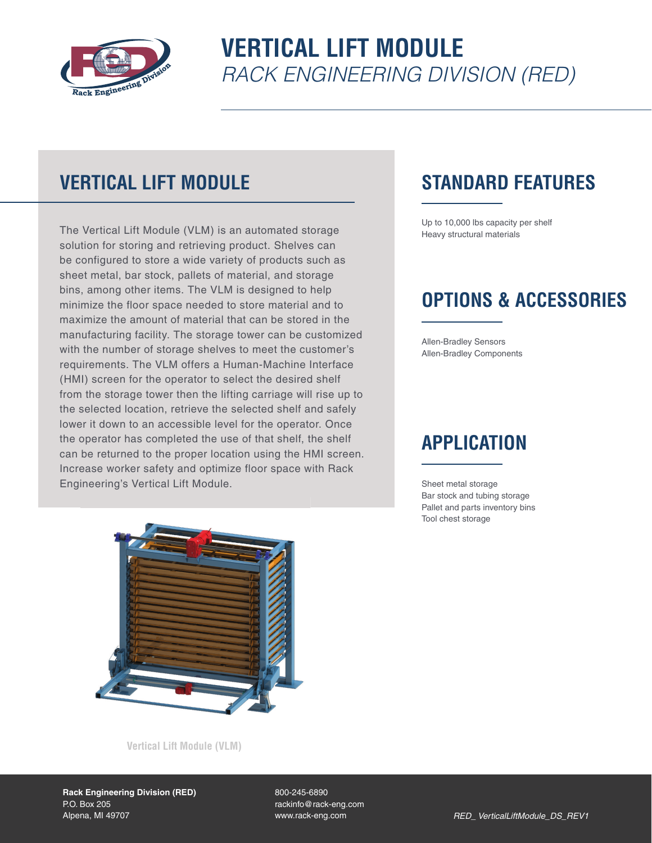

# **VERTICAL LIFT MODULE** *RACK ENGINEERING DIVISION (RED)*

## **VERTICAL LIFT MODULE**

The Vertical Lift Module (VLM) is an automated storage solution for storing and retrieving product. Shelves can be configured to store a wide variety of products such as sheet metal, bar stock, pallets of material, and storage bins, among other items. The VLM is designed to help minimize the floor space needed to store material and to maximize the amount of material that can be stored in the manufacturing facility. The storage tower can be customized with the number of storage shelves to meet the customer's requirements. The VLM offers a Human-Machine Interface (HMI) screen for the operator to select the desired shelf from the storage tower then the lifting carriage will rise up to the selected location, retrieve the selected shelf and safely lower it down to an accessible level for the operator. Once the operator has completed the use of that shelf, the shelf can be returned to the proper location using the HMI screen. Increase worker safety and optimize floor space with Rack Engineering's Vertical Lift Module.

### **STANDARD FEATURES**

Up to 10,000 lbs capacity per shelf Heavy structural materials

### **OPTIONS & ACCESSORIES**

Allen-Bradley Sensors Allen-Bradley Components

### **APPLICATION**

Sheet metal storage Bar stock and tubing storage Pallet and parts inventory bins Tool chest storage



**Vertical Lift Module (VLM)**

800-245-6890 rackinfo@rack-eng.com www.rack-eng.com